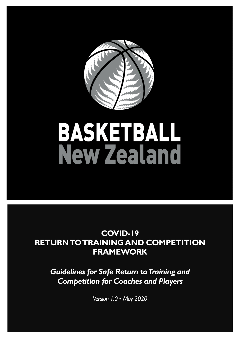

# **BASKETBALL**<br>New Zealand

# **COVID-19 RETURN TO TRAINING AND COMPETITION FRAMEWORK**

*Guidelines for Safe Return to Training and Competition for Coaches and Players*

*Version 1.0 • May 2020*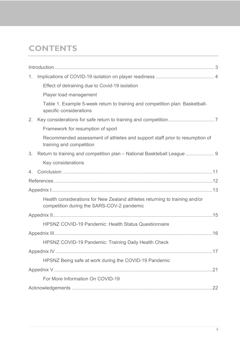# **CONTENTS**

| 1.      |                                                                                                                           |
|---------|---------------------------------------------------------------------------------------------------------------------------|
|         | Effect of detraining due to Covid-19 isolation                                                                            |
|         | Player load management                                                                                                    |
|         | Table 1. Example 5-week return to training and competition plan: Basketball-<br>specific considerations                   |
| 2.      |                                                                                                                           |
|         | Framework for resumption of sport                                                                                         |
|         | Recommended assessment of athletes and support staff prior to resumption of<br>training and competition                   |
| 3.      |                                                                                                                           |
|         | Key considerations                                                                                                        |
| $4_{-}$ |                                                                                                                           |
|         |                                                                                                                           |
|         |                                                                                                                           |
|         | Health considerations for New Zealand athletes returning to training and/or<br>competition during the SARS-COV-2 pandemic |
|         |                                                                                                                           |
|         | <b>HPSNZ COVID-19 Pandemic: Health Status Questionnaire</b>                                                               |
|         |                                                                                                                           |
|         | HPSNZ COVID-19 Pandemic: Training Daily Health Check                                                                      |
|         |                                                                                                                           |
|         | HPSNZ Being safe at work during the COVID-19 Pandemic                                                                     |
|         |                                                                                                                           |
|         | For More Information On COVID-19                                                                                          |
|         |                                                                                                                           |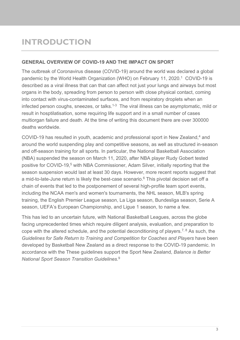# <span id="page-2-0"></span>**INTRODUCTION**

## **GENERAL OVERVIEW OF COVID-19 AND THE IMPACT ON SPORT**

The outbreak of Coronavirus disease (COVID-19) around the world was declared a global pandemic by the World Health Organization (WHO) on February 11, 2020.<sup>1</sup> COVID-19 is described as a viral illness that can that can affect not just your lungs and airways but most organs in the body, spreading from person to person with close physical contact, coming into contact with virus-contaminated surfaces, and from respiratory droplets when an infected person coughs, sneezes, or talks.<sup>1-3</sup> The viral illness can be asymptomatic, mild or result in hosptilatisation, some requiring life support and in a small number of cases multiorgan failure and death. At the time of writing this document there are over 300000 deaths worldwide.

COVID-19 has resulted in youth, academic and professional sport in New Zealand.<sup>4</sup> and around the world suspending play and competitive seasons, as well as structured in-season and off-season training for all sports. In particular, the National Basketball Association (NBA) suspended the season on March 11, 2020, after NBA player Rudy Gobert tested positive for COVID-19.<sup>5</sup> with NBA Commissioner, Adam Silver, initially reporting that the season suspension would last at least 30 days. However, more recent reports suggest that a mid-to-late-June return is likely the best-case scenario.<sup>6</sup> This pivotal decision set off a chain of events that led to the postponement of several high-profile team sport events, including the NCAA men's and women's tournaments, the NHL season, MLB's spring training, the English Premier League season, La Liga season, Bundesliga season, Serie A season, UEFA's European Championship, and Ligue 1 season, to name a few.

This has led to an uncertain future, with National Basketball Leagues, across the globe facing unprecedented times which require diligent analysis, evaluation, and preparation to cope with the altered schedule, and the potential deconditioning of players.<sup>7, 8</sup> As such, the *Guidelines for Safe Return to Training and Competition for Coaches and Players* have been developed by Basketball New Zealand as a direct response to the COVID-19 pandemic. In accordance with the These guidelines support the Sport New Zealand, *Balance is Better National Sport Season Transition Guidelines.* 9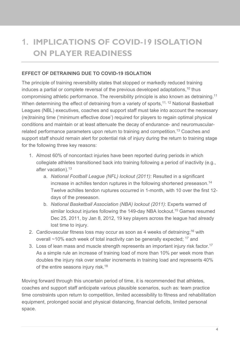# <span id="page-3-0"></span>**1. IMPLICATIONS OF COVID-19 ISOLATION ON PLAYER READINESS**

# **EFFECT OF DETRAINING DUE TO COVID-19 ISOLATION**

The principle of training reversibility states that stopped or markedly reduced training induces a partial or complete reversal of the previous developed adaptations,<sup>10</sup> thus compromising athletic performance. The reversibility principle is also known as detraining.11 When determining the effect of detraining from a variety of sports,<sup>11, 12</sup> National Basketball Leagues (NBL) executives, coaches and support staff must take into account the necessary (re)training time ('minimum effective dose') required for players to regain optimal physical conditions and maintain or at least attenuate the decay of endurance- and neuromuscularrelated performance parameters upon return to training and competition.<sup>13</sup> Coaches and support staff should remain alert for potential risk of injury during the return to training stage for the following three key reasons:

- 1. Almost 60% of noncontact injuries have been reported during periods in which collegiate athletes transitioned back into training following a period of inactivity (e.g., after vacation). 13
	- a. *National Football League (NFL) lockout (2011)*: Resulted in a significant increase in achilles tendon ruptures in the following shortened preseason. 14 Twelve achilles tendon ruptures occurred in 1-month, with 10 over the first 12 days of the preseason.
	- b. *National Basketball Association (NBA) lockout (2011)*: Experts warned of similar lockout injuries following the 149-day NBA lockout. <sup>15</sup> Games resumed Dec 25, 2011, by Jan 8, 2012, 19 key players across the league had already lost time to injury.
- 2. Cardiovascular fitness loss may occur as soon as 4 weeks of detraining:<sup>16</sup> with overall  $\sim$ 10% each week of total inactivity can be generally expected;  $^{17}$  and
- 3. Loss of lean mass and muscle strength represents an important injury risk factor.<sup>17</sup> As a simple rule an increase of training load of more than 10% per week more than doubles the injury risk over smaller increments in training load and represents 40% of the entire seasons injury risk.<sup>18</sup>

Moving forward through this uncertain period of time, it is recommended that athletes, coaches and support staff anticipate various plausible scenarios, such as: team practice time constraints upon return to competition, limited accessibility to fitness and rehabilitation equipment, prolonged social and physical distancing, financial deficits, limited personal space.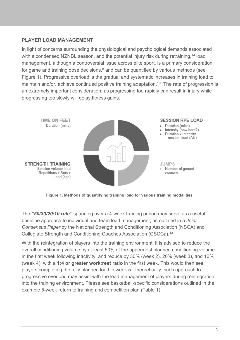# **PLAYER LOAD MANAGEMENT**

In light of concerns surrounding the physiological and psychological demands associated with a condensed NZNBL season, and the potential injury risk during retraining,<sup>14</sup> load management, although a controversial issue across elite sport, is a primary consideration for game and training dose decisions, $^8$  and can be quantified by various methods (see Figure 1). Progressive overload is the gradual and systematic increases in training load to maintain and/or, achieve continued positive training adaptation.<sup>10</sup> The rate of progression is an extremely important consideration; as progressing too rapidly can result in injury while progressing too slowly will delay fitness gains.



**Figure 1. Methods of quantifying training load for various training modalities.**

The *"50/30/20/10 rule"* spanning over a 4-week training period may serve as a useful baseline approach to individual and team load management, as outlined in a *Joint Consensus Paper* by the National Strength and Conditioning Association (NSCA) and Collegiate Strength and Conditioning Coaches Association (CSCCa).13

With the reintegration of players into the training environment, it is advised to reduce the overall conditioning volume by at least 50% of the uppermost planned conditioning volume in the first week following inactivity, and reduce by 30% (week 2), 20% (week 3), and 10% (week 4), with a **1:4 or greater work:rest ratio** in the first week. This would then see players completing the fully planned load in week 5. Theoretically, such approach to progressive overload may assist with the lead management of players during reintegration into the training environment. Please see basketball-specific considerations outlined in the example 5-week return to training and competition plan (Table 1).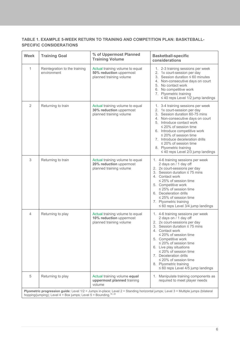#### **TABLE 1. EXAMPLE 5-WEEK RETURN TO TRAINING AND COMPETITION PLAN: BASKTEBALL-SPECIFIC CONSIDERATIONS**

| <b>Week</b>    | <b>Training Goal</b>                                                              | % of Uppermost Planned<br><b>Training Volume</b>                                      | <b>Basketball-specific</b><br>considerations                                                                                                                                                                                                                                                                                                                                                                                |
|----------------|-----------------------------------------------------------------------------------|---------------------------------------------------------------------------------------|-----------------------------------------------------------------------------------------------------------------------------------------------------------------------------------------------------------------------------------------------------------------------------------------------------------------------------------------------------------------------------------------------------------------------------|
| $\mathbf{1}$   | Reintegration to the training<br>environment                                      | Actual training volume to equal<br>50% reduction uppermost<br>planned training volume | 1. 2-3 training sessions per week<br>2. 1x court-session per day<br>3. Session duration $\leq 60$ minutes<br>4. Non-consecutive days on court<br>5. No contact work<br>6. No competitive work<br>7. Plyometric training<br>$\leq$ 40 reps Level 1/2 jump landings                                                                                                                                                           |
| $\overline{2}$ | Returning to train                                                                | Actual training volume to equal<br>30% reduction uppermost<br>planned training volume | 1. 3-4 training sessions per week<br>2. 1x court-session per day<br>3. Session duration 60-75 mins<br>4. Non-consecutive days on court<br>5. Introduce contact work<br>$\leq$ 20% of session time<br>6. Introduce competitive work<br>$\leq$ 20% of session time<br>7. Introduce deceleration drills<br>$\leq$ 20% of session time<br>8. Plyometric training<br>$\leq$ 40 reps Level 2/3 jump landings                      |
| 3              | Returning to train                                                                | Actual training volume to equal<br>20% reduction uppermost<br>planned training volume | 1. 4-6 training sessions per week<br>2 days on / 1 day off<br>2. 2x court-sessions per day<br>3. Session duration $\leq$ 75 mins<br>4. Contact work<br>$\leq$ 25% of session time<br>5. Competitive work<br>$\leq$ 25% of session time<br>6. Deceleration drills<br>$\leq$ 25% of session time<br>7. Plyometric training<br>$\leq 60$ reps Level 3/4 jump landings                                                          |
| $\overline{4}$ | Returning to play                                                                 | Actual training volume to equal<br>10% reduction uppermost<br>planned training volume | 1. 4-6 training sessions per week<br>2 days on / 1 day off<br>2. 2x court-sessions per day<br>3. Session duration $\leq 75$ mins<br>4. Contact work<br>$\leq$ 20% of session time<br>5. Competitive work<br>$\leq$ 20% of session time<br>6. Live play situations<br>$\leq$ 20% of session time<br>7. Deceleration drills<br>$\leq$ 20% of session time<br>8. Plyometric training<br>$\leq 60$ reps Level 4/5 jump landings |
| 5              | Returning to play                                                                 | Actual training volume equal<br>uppermost planned training<br>volume                  | 1. Manipulate training components as<br>required to meet player needs                                                                                                                                                                                                                                                                                                                                                       |
|                | hopping/jumping); Level $4 = Box$ jumps; Level $5 = Bound$ ing. <sup>19, 20</sup> |                                                                                       | Plyometric progression guide: Level 1/2 = Jumps in-place; Level 2 = Standing horizontal jumps; Level 3 = Multiple jumps (bilateral                                                                                                                                                                                                                                                                                          |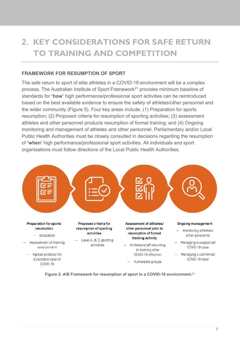# <span id="page-6-0"></span>**2. KEY CONSIDERATIONS FOR SAFE RETURN TO TRAINING AND COMPETITION**

#### **FRAMEWORK FOR RESUMPTION OF SPORT**

The safe return to sport of elite athletes in a COVID-19 environment will be a complex process. The Australian Institute of Sport Framework<sup>21</sup> provides minimum baseline of standards for **'how'** high performance/professional sport activities can be reintroduced based on the best available evidence to ensure the safety of athletes/other personnel and the wider community (Figure 5). Four key areas include, (1) Preparation for sports resumption; (2) Proposed criteria for resumption of sporting activities; (3) assessment athletes and other personnel products resumption of formal training; and (4) Ongoing monitoring and management of athletes and other personnel. Parliamentary and/or Local Public Health Authorities must be closely consulted in decisions regarding the resumption of **'when'** high performance/professional sport activities. All individuals and sport organisations must follow directions of the Local Public Health Authorities.



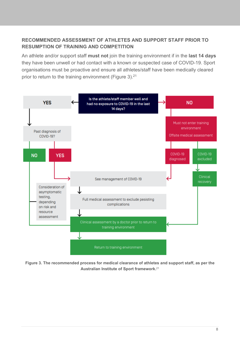# **RECOMMENDED ASSESSMENT OF ATHLETES AND SUPPORT STAFF PRIOR TO RESUMPTION OF TRAINING AND COMPETITION**

An athlete and/or support staff **must not** join the training environment if in the **last 14 days** they have been unwell or had contact with a known or suspected case of COVID-19. Sport organisations must be proactive and ensure all athletes/staff have been medically cleared prior to return to the training environment (Figure 3).<sup>21</sup>



**Figure 3. The recommended process for medical clearance of athletes and support staff, as per the Australian Institute of Sport framework.** 21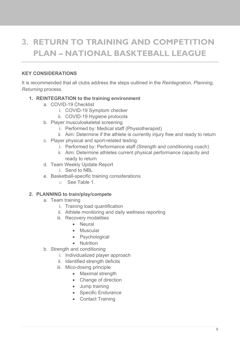# <span id="page-8-0"></span>**3. RETURN TO TRAINING AND COMPETITION PLAN – NATIONAL BASKTEBALL LEAGUE**

# **KEY CONSIDERATIONS**

It is recommended that all clubs address the steps outlined in the *Reintegration, Planning, Returning* process.

# **1. REINTEGRATION to the training environment**

- a. COVID-19 Checklist
	- i. COVID-19 Symptom checker
	- ii. COVID-19 Hygiene protocols
- b. Player musculoskeletal screening
	- i. Performed by: Medical staff (Physiotherapist)
	- ii. Aim: Determine if the athlete is currently injury free and ready to return
- c. Player physical and sport-related testing
	- i. Performed by: Performance staff (Strength and conditioning coach)
	- ii. Aim: Determine athletes current physical performance capacity and ready to return
- d. Team Weekly Update Report
	- i. Send to NBL
- e. Basketball-specific training considerations
	- o See Table 1.

# **2. PLANNING to train/play/compete**

- a. Team training
	- i. Training load quantification
	- ii. Athlete monitoring and daily wellness reporting
	- iii. Recovery modalities
		- Neural
		- Muscular
		- **Psychological**
		- Nutrition
- b. Strength and conditioning
	- i. Individualized player approach
	- ii. Identified strength deficits
	- iii. Mico-dosing principle
		- Maximal strength
		- Change of direction
		- Jump training
		- Specific Endurance
		- Contact Training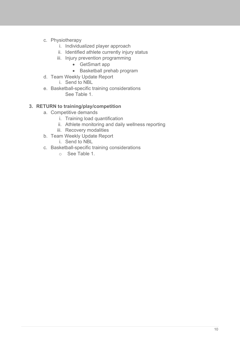- c. Physiotherapy
	- i. Individualized player approach
	- ii. Identified athlete currently injury status
	- iii. Injury prevention programming
		- GetSmart app
		- Basketball prehab program
- d. Team Weekly Update Report
	- i. Send to NBL
- e. Basketball-specific training considerations See Table 1.

## **3. RETURN to training/play/competition**

- a. Competitive demands
	- i. Training load quantification
	- ii. Athlete monitoring and daily wellness reporting
	- iii. Recovery modalities
- b. Team Weekly Update Report
	- i. Send to NBL
- c. Basketball-specific training considerations
	- o See Table 1.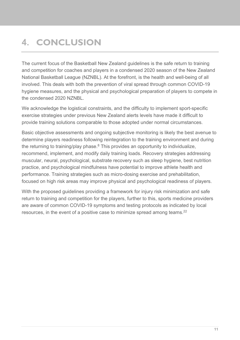# <span id="page-10-0"></span>**4. CONCLUSION**

The current focus of the Basketball New Zealand guidelines is the safe return to training and competition for coaches and players in a condensed 2020 season of the New Zealand National Basketball League (NZNBL). At the forefront, is the health and well-being of all involved. This deals with both the prevention of viral spread through common COVID-19 hygiene measures, and the physical and psychological preparation of players to compete in the condensed 2020 NZNBL.

We acknowledge the logistical constraints, and the difficulty to implement sport-specific exercise strategies under previous New Zealand alerts levels have made it difficult to provide training solutions comparable to those adopted under normal circumstances.

Basic objective assessments and ongoing subjective monitoring is likely the best avenue to determine players readiness following reintegration to the training environment and during the returning to training/play phase.<sup>8</sup> This provides an opportunity to individualize, recommend, implement, and modify daily training loads. Recovery strategies addressing muscular, neural, psychological, substrate recovery such as sleep hygiene, best nutrition practice, and psychological mindfulness have potential to improve athlete health and performance. Training strategies such as micro-dosing exercise and prehabilitation, focused on high risk areas may improve physical and psychological readiness of players.

With the proposed guidelines providing a framework for injury risk minimization and safe return to training and competition for the players, further to this, sports medicine providers are aware of common COVID-19 symptoms and testing protocols as indicated by local resources, in the event of a positive case to minimize spread among teams.<sup>22</sup>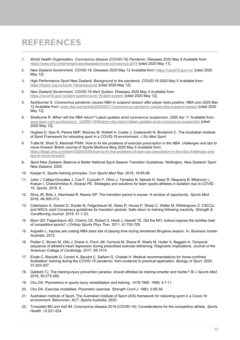# <span id="page-11-0"></span>**REFERENCES**

- 1. World Health Organisation. *Coronavirus disease (COVID-19) Pandemic*. Diseases 2020 May 8 Available from: <https://www.who.int/emergencies/diseases/novel-coronavirus-2019> [cited 2020 May 11].
- 2. New Zealand Government. *COVID-19*. Diseases 2020 May 12 Available from:<https://covid19.govt.nz/> [cited 2020 May 12].
- 3. High Performance Sport New Zealand. *Background to the pandemic*. COVID-19 2020 May 5 Available from: <https://hpsnz.org.nz/covid-19/background/> [cited 2020 May 12].
- 4. New Zealand Government. *COVID-19 Alert System*. Diseases 2020 May 5 Available from: <https://covid19.govt.nz/alert-system/covid-19-alert-system/> [cited 2020 May 12].
- 5. Aschburner S. *Coronavirus pandemic causes NBA to suspend season after player tests positive*. NBA.com 2020 Mar 12 Available from:<www.nba.com/article/2020/03/11/coronavirus-pandemic-causes-nba-suspend-season> [cited 2020 May 12].
- 6. Shelburne R. *When will the NBA return? Latest updates amid coronavirus suspension*. 2020 Apr 11 Available from: [www.espn.com.au/nba/story/\\_/id/28911848/when-nba-return-latest-updates-amid-coronavirus-suspension](www.espn.com.au/nba/story/_/id/28911848/when-nba-return-latest-updates-amid-coronavirus-suspension) [cited 2020 May 12].
- 7. Hughes D, Saw R, Perera NKP, Mooney M, Wallett A, Cooke J, Coatsworth N, Broderick C. The Australian Institute of Sport Framework for rebooting sport in a COVID-19 environment. *J Sci Med Sport*.
- 8. Tuttle M, Short S, Marshall PWM. *How to fix the problems of exercise prescription in the NBA: challenges and tips to move forward*. British Journal of Sports Medicine Blog 2020 May 5 Available from: [https://blogs.bmj.com/bjsm/2020/05/05/how-to-fix-the-problems-of-exercise-prescription-in-the-nba-challenges-and](https://blogs.bmj.com/bjsm/2020/05/05/how-to-fix-the-problems-of-exercise-prescription-in-the-nba-challenges-and-tips-to-move-forward/)[tips-to-move-forward/.](https://blogs.bmj.com/bjsm/2020/05/05/how-to-fix-the-problems-of-exercise-prescription-in-the-nba-challenges-and-tips-to-move-forward/)
- 9. Sport New Zealand**.** Balance is Better National Sport Season Transition Guidelines. Wellington, New Zealand: Sport New Zealand, 2020.
- 10. Kasper K. Sports training principles. *Curr Sports Med Rep*. 2019, 18:95-96.
- 11. Jukic I, Calleja-González J, Cos F, Cuzzolin F, Olmo J, Terrados N, Njaradi N, Sassi R, Requena B, Milanovic L, Krakan I, Chatzichristos K, Alcaraz PE. Strategies and solutions for team sports athletes in isolation due to COVID-19. *Sports*. 2018, 8
- 12. Silva JR, Brito J, Akenhead R, Nassis GP. The transition period in soccer: A window of opportunity. *Sports Med*. 2016, 46:305-313.
- 13. Caterisano A, Decker D, Snyder B, Feigenbaum M, Glass R, House P, Sharp C, Waller M, Witherspoon Z. CSCCa and NSCA Joint Consensus guidelines for transition periods: Safe return to training following inactivity. *Strength & Conditioning Journal*. 2019, 41:1-23.
- 14. Myer GD, Faigenbaum AD, Cherny CE, Robert S. Heidt J, Hewett TE. Did the NFL lockout expose the achilles heel of competitive sports? *J Orthop Sports Phys Ther*. 2011, 41:702-705.
- 15. Arguello L**.** Injuries are costing NBA stars lots of playing time during shortened 66-game season. In: *Business Insider Australia*, 2012.
- 16. Pedlar C, Brown M, Otto J, Drane A, Finch JM, Contursi M, Shave R, Wasfy M, Hutter A, Baggish A. Temporal sequence of athlete's heart regression during prescribed exercise detraining: Diagnostic implications. *Journal of the American College of Cardiology*. 2017, 69:1414.
- 17. Eirale C, Bisciotti G, Corsini A, Baudot C, Saillant G, Chalabi H. Medical recommendations for home-confined footballers' training during the COVID-19 pandemic: from evidence to practical application. *Biology of Sport*. 2020, 37:203-207.
- 18. Gabbett TJ. The training-injury prevention paradox: should athletes be training smarter and harder? *Br J Sports Med*. 2016, 50:273-280.
- 19. Chu DA. Plyometrics in sports injury rehabilitation and training. *1078-7895*. 1999, 4:7-11.
- 20. Chu DA. Exercise modalities: Plyometric exercise. *Strength Cond J*. 1983, 5:56-59.
- 21. Australian Institute of Sport**.** The Australian Institute of Sport (AIS) framework for rebooting sport in a Covid-19 environment. Belconnen, ACT: Sports Australia, 2020.
- 22. Toresdahl BG and Asif IM. Coronavirus disease 2019 (COVID-19): Considerations for the competitive athlete. *Sports Health*. 12:221-224.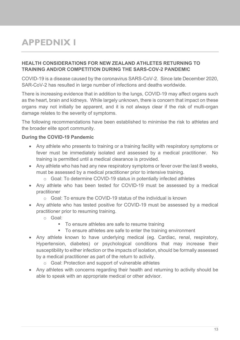# <span id="page-12-0"></span>**APPEDNIX I**

## **HEALTH CONSIDERATIONS FOR NEW ZEALAND ATHLETES RETURNING TO TRAINING AND/OR COMPETITION DURING THE SARS-COV-2 PANDEMIC**

COVID-19 is a disease caused by the coronavirus SARS-CoV-2. Since late December 2020, SAR-CoV-2 has resulted in large number of infections and deaths worldwide.

There is increasing evidence that in addition to the lungs, COVID-19 may affect organs such as the heart, brain and kidneys. While largely unknown, there is concern that impact on these organs may not initially be apparent, and it is not always clear if the risk of multi-organ damage relates to the severity of symptoms.

The following recommendations have been established to minimise the risk to athletes and the broader elite sport community.

# **During the COVID-19 Pandemic**

- Any athlete who presents to training or a training facility with respiratory symptoms or fever must be immediately isolated and assessed by a medical practitioner. No training is permitted until a medical clearance is provided.
- Any athlete who has had any new respiratory symptoms or fever over the last 8 weeks, must be assessed by a medical practitioner prior to intensive training.
	- o Goal: To determine COVID-19 status in potentially infected athletes
- Any athlete who has been tested for COVID-19 must be assessed by a medical practitioner
	- o Goal: To ensure the COVID-19 status of the individual is known
- Any athlete who has tested positive for COVID-19 must be assessed by a medical practitioner prior to resuming training.
	- o Goal:
		- To ensure athletes are safe to resume training
		- To ensure athletes are safe to enter the training environment
- Any athlete known to have underlying medical (eg. Cardiac, renal, respiratory, Hypertension, diabetes) or psychological conditions that may increase their susceptibility to either infection or the impacts of isolation, should be formally assessed by a medical practitioner as part of the return to activity.
	- o Goal: Protection and support of vulnerable athletes
- Any athletes with concerns regarding their health and returning to activity should be able to speak with an appropriate medical or other advisor.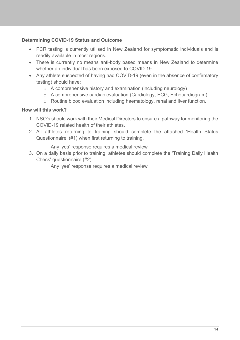# **Determining COVID-19 Status and Outcome**

- PCR testing is currently utilised in New Zealand for symptomatic individuals and is readily available in most regions.
- There is currently no means anti-body based means in New Zealand to determine whether an individual has been exposed to COVID-19.
- Any athlete suspected of having had COVID-19 (even in the absence of confirmatory testing) should have:
	- o A comprehensive history and examination (including neurology)
	- o A comprehensive cardiac evaluation (Cardiology, ECG, Echocardiogram)
	- o Routine blood evaluation including haematology, renal and liver function.

## **How will this work?**

- 1. NSO's should work with their Medical Directors to ensure a pathway for monitoring the COVID-19 related health of their athletes.
- 2. All athletes returning to training should complete the attached 'Health Status Questionnaire' (#1) when first returning to training.

Any 'yes' response requires a medical review

3. On a daily basis prior to training, athletes should complete the 'Training Daily Health Check' questionnaire (#2).

Any 'yes' response requires a medical review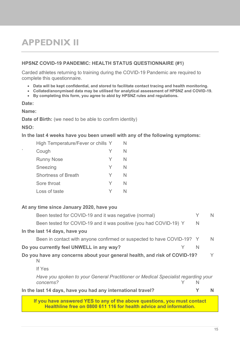# <span id="page-14-0"></span>**APPEDNIX II**

#### **HPSNZ COVID-19 PANDEMIC: HEALTH STATUS QUESTIONNAIRE (#1)**

Carded athletes returning to training during the COVID-19 Pandemic are required to complete this questionnaire.

- **Data will be kept confidential, and stored to facilitate contact tracing and health monitoring.**
- **Collated/anonymised data may be utilised for analytical assessment of HPSNZ and COVID-19.**
- **By completing this form, you agree to abid by HPSNZ rules and regulations.**

#### **Date:**

**Name:**

**Date of Birth:** (we need to be able to confirm identity)

**NSO:**

**In the last 4 weeks have you been unwell with any of the following symptoms:**

|   | High Temperature/Fever or chills Y |   | N |
|---|------------------------------------|---|---|
| ۰ | Cough                              | Y | N |
|   | <b>Runny Nose</b>                  | Y | N |
|   | Sneezing                           | Y | N |
|   | <b>Shortness of Breath</b>         | Y | N |
|   | Sore throat                        | Y | N |
|   | Loss of taste                      |   |   |

#### **At any time since January 2020, have you**

| Been tested for COVID-19 and it was negative (normal)                                                                                          | Y | N  |
|------------------------------------------------------------------------------------------------------------------------------------------------|---|----|
| Been tested for COVID-19 and it was positive (you had COVID-19) Y                                                                              | N |    |
| In the last 14 days, have you                                                                                                                  |   |    |
| Been in contact with anyone confirmed or suspected to have COVID-19? Y                                                                         |   | N. |
| Do you currently feel UNWELL in any way?                                                                                                       | N |    |
| Do you have any concerns about your general health, and risk of COVID-19?<br>N                                                                 |   | V  |
| If Yes                                                                                                                                         |   |    |
| Have you spoken to your General Practitioner or Medical Specialist regarding your<br>concerns?                                                 | N |    |
| In the last 14 days, have you had any international travel?                                                                                    |   |    |
| If you have answered YES to any of the above questions, you must contact<br>Healthline free on 0800 611 116 for health advice and information. |   |    |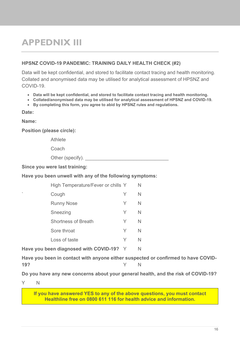# <span id="page-15-0"></span>**APPEDNIX III**

#### **HPSNZ COVID-19 PANDEMIC: TRAINING DAILY HEALTH CHECK (#2)**

Data will be kept confidential, and stored to facilitate contact tracing and health monitoring. Collated and anonymised data may be utilised for analytical assessment of HPSNZ and COVID-19.

- **Data will be kept confidential, and stored to facilitate contact tracing and health monitoring.**
- **Collated/anonymised data may be utilised for analytical assessment of HPSNZ and COVID-19.**
- **By completing this form, you agree to abid by HPSNZ rules and regulations.**

**Date:**

**Name:**

**Position (please circle):**

Athlete

Coach

Other (specify).

**Since you were last training:**

**Have you been unwell with any of the following symptoms:**

|   | High Temperature/Fever or chills Y |   | N |
|---|------------------------------------|---|---|
| ۰ | Cough                              | Y | N |
|   | <b>Runny Nose</b>                  | Y | N |
|   | Sneezing                           | Y | N |
|   | <b>Shortness of Breath</b>         | Y | N |
|   | Sore throat                        | Y | N |
|   | Loss of taste                      | Y |   |
|   |                                    |   |   |

Have you been diagnosed with COVID-19? Y N

**Have you been in contact with anyone either suspected or confirmed to have COVID-19?** Y N

**Do you have any new concerns about your general health, and the risk of COVID-19?**

Y N

**If you have answered YES to any of the above questions, you must contact Healthline free on 0800 611 116 for health advice and information.**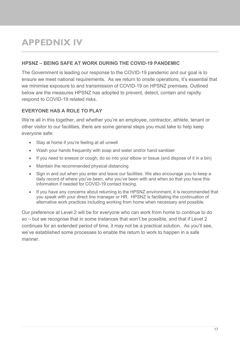# <span id="page-16-0"></span>**APPEDNIX IV**

## **HPSNZ – BEING SAFE AT WORK DURING THE COVID-19 PANDEMIC**

The Government is leading our response to the COVID-19 pandemic and our goal is to ensure we meet national requirements. As we return to onsite operations, it's essential that we minimise exposure to and transmission of COVID-19 on HPSNZ premises. Outlined below are the measures HPSNZ has adopted to prevent, detect, contain and rapidly respond to COVID-19 related risks.

# **EVERYONE HAS A ROLE TO PLAY**

We're all in this together, and whether you're an employee, contractor, athlete, tenant or other visitor to our facilities, there are some general steps you must take to help keep everyone safe:

- Stay at home if you're feeling at all unwell
- Wash your hands frequently with soap and water and/or hand sanitiser
- If you need to sneeze or cough, do so into your elbow or tissue (and dispose of it in a bin)
- Maintain the recommended physical distancing
- Sign in and out when you enter and leave our facilities. We also encourage you to keep a daily record of where you've been, who you've been with and when so that you have this information if needed for COVID-19 contact tracing.
- If you have any concerns about returning to the HPSNZ environment, it is recommended that you speak with your direct line manager or HR. HPSNZ is facilitating the continuation of alternative work practices including working from home when necessary and possible.

Our preference at Level 2 will be for everyone who can work from home to continue to do so – but we recognise that in some instances that won't be possible, and that if Level 2 continues for an extended period of time, it may not be a practical solution. As you'll see, we've established some processes to enable the return to work to happen in a safe manner.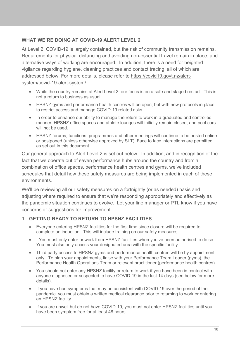# **WHAT WE'RE DOING AT COVID-19 ALERT LEVEL 2**

At Level 2, COVID-19 is largely contained, but the risk of community transmission remains. Requirements for physical distancing and avoiding non-essential travel remain in place, and alternative ways of working are encouraged. In addition, there is a need for heighted vigilance regarding hygiene, cleaning practices and contact tracing, all of which are addressed below. For more details, please refer to [https://covid19.govt.nz/alert](https://covid19.govt.nz/alert-system/covid-19-alert-system/)[system/covid-19-alert-system/.](https://covid19.govt.nz/alert-system/covid-19-alert-system/)

- While the country remains at Alert Level 2, our focus is on a safe and staged restart. This is not a return to business as usual.
- HPSNZ gyms and performance health centres will be open, but with new protocols in place to restrict access and manage COVID-19 related risks.
- In order to enhance our ability to manage the return to work in a graduated and controlled manner, HPSNZ office spaces and athlete lounges will initially remain closed, and pool cars will not be used.
- HPSNZ forums, functions, programmes and other meetings will continue to be hosted online or postponed (unless otherwise approved by SLT). Face to face interactions are permitted as set out in this document.

Our general approach to Alert Level 2 is set out below. In addition, and in recognition of the fact that we operate out of seven performance hubs around the country and from a combination of office spaces, performance health centres and gyms, we've included schedules that detail how these safety measures are being implemented in each of these environments.

We'll be reviewing all our safety measures on a fortnightly (or as needed) basis and adjusting where required to ensure that we're responding appropriately and effectively as the pandemic situation continues to evolve. Let your line manager or PTL know if you have concerns or suggestions for improvement.

## **1. GETTING READY TO RETURN TO HPSNZ FACILITIES**

- Everyone entering HPSNZ facilities for the first time since closure will be required to complete an induction. This will include training on our safety measures.
- You must only enter or work from HPSNZ facilities when you've been authorised to do so. You must also only access your designated area with the specific facility.
- Third party access to HPSNZ gyms and performance health centres will be by appointment only. To plan your appointments, liaise with your Performance Team Leader (gyms), the Performance Health Operations Team or relevant practitioner (performance health centres).
- You should not enter any HPSNZ facility or return to work if you have been in contact with anyone diagnosed or suspected to have COVID-19 in the last 14 days (see below for more details).
- If you have had symptoms that may be consistent with COVID-19 over the period of the pandemic, you must obtain a written medical clearance prior to returning to work or entering an HPSNZ facility.
- If you are unwell but do not have COVID-19, you must not enter HPSNZ facilities until you have been symptom free for at least 48 hours.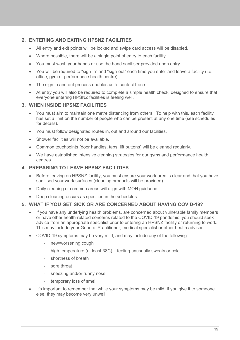# **2. ENTERING AND EXITING HPSNZ FACILITIES**

- All entry and exit points will be locked and swipe card access will be disabled.
- Where possible, there will be a single point of entry to each facility.
- You must wash your hands or use the hand sanitiser provided upon entry.
- You will be required to "sign-in" and "sign-out" each time you enter and leave a facility (i.e. office, gym or performance health centre).
- The sign in and out process enables us to contact trace.
- At entry you will also be required to complete a simple health check, designed to ensure that everyone entering HPSNZ facilities is feeling well.

#### **3. WHEN INSIDE HPSNZ FACILITIES**

- You must aim to maintain one metre distancing from others. To help with this, each facility has set a limit on the number of people who can be present at any one time (see schedules for details).
- You must follow designated routes in, out and around our facilities.
- Shower facilities will not be available.
- Common touchpoints (door handles, taps, lift buttons) will be cleaned regularly.
- We have established intensive cleaning strategies for our gyms and performance health centres.

#### **4. PREPARING TO LEAVE HPSNZ FACILITIES**

- Before leaving an HPSNZ facility, you must ensure your work area is clear and that you have sanitised your work surfaces (cleaning products will be provided).
- Daily cleaning of common areas will align with MOH guidance.
- Deep cleaning occurs as specified in the schedules.

#### **5. WHAT IF YOU GET SICK OR ARE CONCERNED ABOUT HAVING COVID-19?**

- If you have any underlying health problems, are concerned about vulnerable family members or have other health-related concerns related to the COVID-19 pandemic, you should seek advice from an appropriate specialist prior to entering an HPSNZ facility or returning to work. This may include your General Practitioner, medical specialist or other health advisor.
- COVID-19 symptoms may be very mild, and may include any of the following:
	- new/worsening cough
	- high temperature (at least 38C) feeling unusually sweaty or cold
	- shortness of breath
	- sore throat
	- sneezing and/or runny nose
	- temporary loss of smell
- It's important to remember that while your symptoms may be mild, if you give it to someone else, they may become very unwell.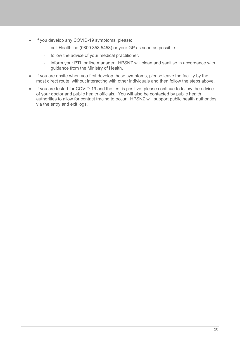- If you develop any COVID-19 symptoms, please:
	- call Healthline (0800 358 5453) or your GP as soon as possible.
	- follow the advice of your medical practitioner.
	- inform your PTL or line manager. HPSNZ will clean and sanitise in accordance with guidance from the Ministry of Health.
- If you are onsite when you first develop these symptoms, please leave the facility by the most direct route, without interacting with other individuals and then follow the steps above.
- If you are tested for COVID-19 and the test is positive, please continue to follow the advice of your doctor and public health officials. You will also be contacted by public health authorities to allow for contact tracing to occur. HPSNZ will support public health authorities via the entry and exit logs.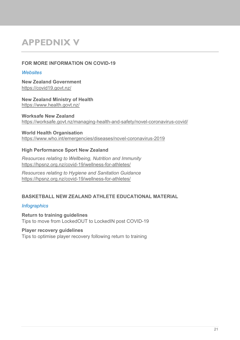# <span id="page-20-0"></span>**APPEDNIX V**

## **FOR MORE INFORMATION ON COVID-19**

## *Websites*

**New Zealand Government** <https://covid19.govt.nz/>

**New Zealand Ministry of Health** <https://www.health.govt.nz/>

**Worksafe New Zealand** <https://worksafe.govt.nz/managing-health-and-safety/novel-coronavirus-covid/>

## **World Health Organisation**

<https://www.who.int/emergencies/diseases/novel-coronavirus-2019>

# **High Performance Sport New Zealand**

*Resources relating to Wellbeing, Nutrition and Immunity* <https://hpsnz.org.nz/covid-19/wellness-for-athletes/>

*Resources relating to Hygiene and Sanitation Guidance* <https://hpsnz.org.nz/covid-19/wellness-for-athletes/>

# **BASKETBALL NEW ZEALAND ATHLETE EDUCATIONAL MATERIAL**

## *Infographics*

**Return to training guidelines** Tips to move from LockedOUT to LockedIN post COVID-19

## **Player recovery guidelines**

Tips to optimise player recovery following return to training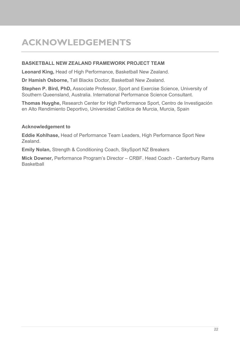# <span id="page-21-0"></span>**ACKNOWLEDGEMENTS**

## **BASKETBALL NEW ZEALAND FRAMEWORK PROJECT TEAM**

**Leonard King,** Head of High Performance, Basketball New Zealand.

**Dr Hamish Osborne,** Tall Blacks Doctor, Basketball New Zealand.

**Stephen P. Bird, PhD,** Associate Professor, Sport and Exercise Science, University of Southern Queensland, Australia. International Performance Science Consultant.

**Thomas Huyghe,** Research Center for High Performance Sport, Centro de Investigación en Alto Rendimiento Deportivo, Universidad Católica de Murcia, Murcia, Spain

# **Acknowledgement to**

**Eddie Kohlhase,** Head of Performance Team Leaders, High Performance Sport New Zealand.

**Emily Nolan,** Strength & Conditioning Coach, SkySport NZ Breakers

**Mick Downer,** Performance Program's Director – CRBF. Head Coach - Canterbury Rams **Basketball**